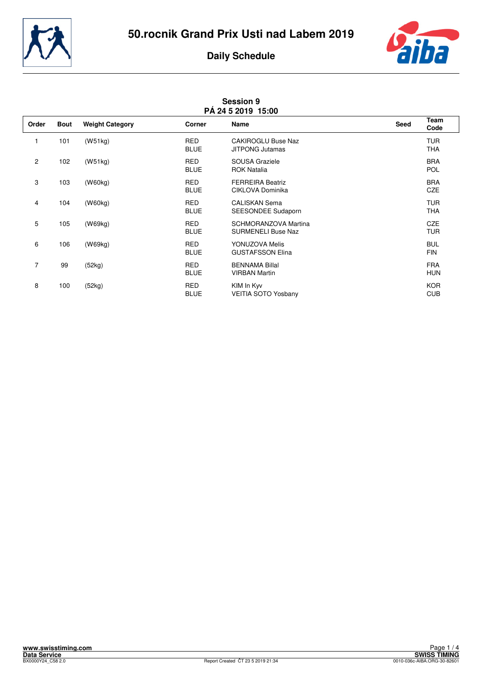



| <b>Session 9</b><br>PÁ 24 5 2019 15:00 |             |                        |                           |                                                     |             |                          |
|----------------------------------------|-------------|------------------------|---------------------------|-----------------------------------------------------|-------------|--------------------------|
| Order                                  | <b>Bout</b> | <b>Weight Category</b> | <b>Corner</b>             | Name                                                | <b>Seed</b> | Team<br>Code             |
|                                        | 101         | (W51kg)                | <b>RED</b><br><b>BLUE</b> | <b>CAKIROGLU Buse Naz</b><br><b>JITPONG Jutamas</b> |             | <b>TUR</b><br><b>THA</b> |
| $\overline{c}$                         | 102         | (W51kg)                | <b>RED</b><br><b>BLUE</b> | SOUSA Graziele<br><b>ROK Natalia</b>                |             | <b>BRA</b><br><b>POL</b> |
| 3                                      | 103         | (W60kg)                | <b>RED</b><br><b>BLUE</b> | <b>FERREIRA Beatriz</b><br>CIKLOVA Dominika         |             | <b>BRA</b><br>CZE        |
| 4                                      | 104         | (W60kg)                | <b>RED</b><br><b>BLUE</b> | <b>CALISKAN Sema</b><br>SEESONDEE Sudaporn          |             | <b>TUR</b><br><b>THA</b> |
| 5                                      | 105         | (W69kg)                | <b>RED</b><br><b>BLUE</b> | SCHMORANZOVA Martina<br><b>SURMENELI Buse Naz</b>   |             | <b>CZE</b><br><b>TUR</b> |
| 6                                      | 106         | (W69kg)                | <b>RED</b><br><b>BLUE</b> | YONUZOVA Melis<br><b>GUSTAFSSON Elina</b>           |             | <b>BUL</b><br><b>FIN</b> |
| $\overline{7}$                         | 99          | (52kg)                 | <b>RED</b><br><b>BLUE</b> | <b>BENNAMA Billal</b><br><b>VIRBAN Martin</b>       |             | <b>FRA</b><br><b>HUN</b> |
| 8                                      | 100         | (52kg)                 | <b>RED</b><br><b>BLUE</b> | KIM In Kyv<br>VEITIA SOTO Yosbany                   |             | <b>KOR</b><br><b>CUB</b> |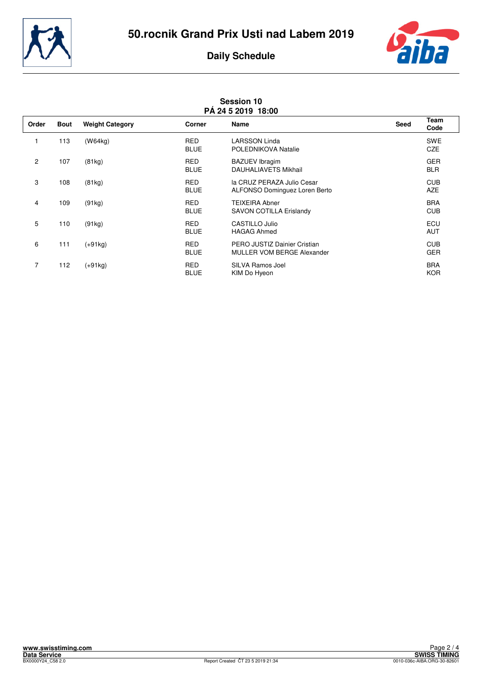



| <b>Session 10</b><br>PÁ 24 5 2019 18:00 |             |                        |                           |                                                             |      |                          |
|-----------------------------------------|-------------|------------------------|---------------------------|-------------------------------------------------------------|------|--------------------------|
| Order                                   | <b>Bout</b> | <b>Weight Category</b> | Corner                    | Name                                                        | Seed | Team<br>Code             |
|                                         | 113         | (W64kg)                | <b>RED</b><br><b>BLUE</b> | <b>LARSSON Linda</b><br>POLEDNIKOVA Natalie                 |      | <b>SWE</b><br><b>CZE</b> |
| $\overline{c}$                          | 107         | (81kg)                 | <b>RED</b><br><b>BLUE</b> | <b>BAZUEV</b> Ibragim<br><b>DAUHALIAVETS Mikhail</b>        |      | <b>GER</b><br><b>BLR</b> |
| 3                                       | 108         | (81kg)                 | <b>RED</b><br><b>BLUE</b> | la CRUZ PERAZA Julio Cesar<br>ALFONSO Dominguez Loren Berto |      | <b>CUB</b><br><b>AZE</b> |
| 4                                       | 109         | (91kg)                 | <b>RED</b><br><b>BLUE</b> | <b>TEIXEIRA Abner</b><br><b>SAVON COTILLA Erislandy</b>     |      | <b>BRA</b><br><b>CUB</b> |
| 5                                       | 110         | (91kg)                 | <b>RED</b><br><b>BLUE</b> | CASTILLO Julio<br><b>HAGAG Ahmed</b>                        |      | ECU<br><b>AUT</b>        |
| 6                                       | 111         | $(+91kg)$              | <b>RED</b><br><b>BLUE</b> | PERO JUSTIZ Dainier Cristian<br>MULLER VOM BERGE Alexander  |      | <b>CUB</b><br><b>GER</b> |
| $\overline{7}$                          | 112         | (+91kg)                | <b>RED</b><br><b>BLUE</b> | SILVA Ramos Joel<br>KIM Do Hyeon                            |      | <b>BRA</b><br><b>KOR</b> |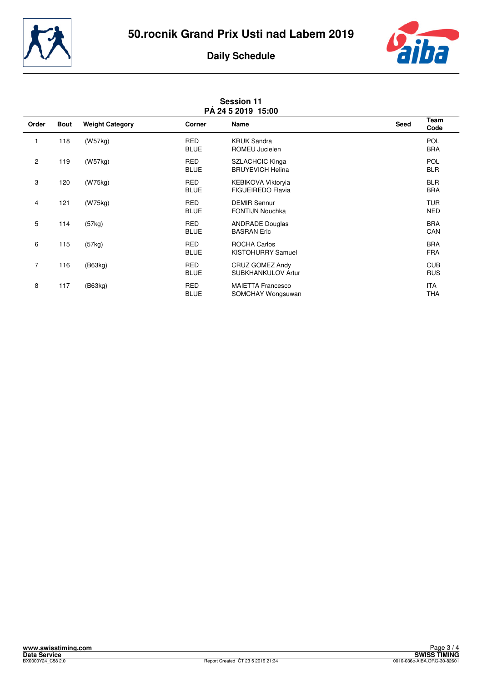



| <b>Session 11</b><br>PÁ 24 5 2019 15:00 |             |                        |                           |                                                   |      |                          |
|-----------------------------------------|-------------|------------------------|---------------------------|---------------------------------------------------|------|--------------------------|
| Order                                   | <b>Bout</b> | <b>Weight Category</b> | Corner                    | <b>Name</b>                                       | Seed | Team<br>Code             |
|                                         | 118         | (W57kg)                | <b>RED</b><br><b>BLUE</b> | <b>KRUK Sandra</b><br>ROMEU Jucielen              |      | <b>POL</b><br><b>BRA</b> |
| $\overline{c}$                          | 119         | (W57kg)                | <b>RED</b><br><b>BLUE</b> | <b>SZLACHCIC Kinga</b><br><b>BRUYEVICH Helina</b> |      | <b>POL</b><br><b>BLR</b> |
| 3                                       | 120         | (W75kg)                | <b>RED</b><br><b>BLUE</b> | KEBIKOVA Viktoryia<br><b>FIGUEIREDO Flavia</b>    |      | <b>BLR</b><br><b>BRA</b> |
| 4                                       | 121         | (W75kg)                | <b>RED</b><br><b>BLUE</b> | <b>DEMIR Sennur</b><br><b>FONTIJN Nouchka</b>     |      | <b>TUR</b><br><b>NED</b> |
| 5                                       | 114         | (57kg)                 | <b>RED</b><br><b>BLUE</b> | <b>ANDRADE Douglas</b><br><b>BASRAN Eric</b>      |      | <b>BRA</b><br>CAN        |
| 6                                       | 115         | (57kg)                 | <b>RED</b><br><b>BLUE</b> | <b>ROCHA Carlos</b><br>KISTOHURRY Samuel          |      | <b>BRA</b><br><b>FRA</b> |
| $\overline{7}$                          | 116         | (B63kg)                | <b>RED</b><br><b>BLUE</b> | CRUZ GOMEZ Andy<br><b>SUBKHANKULOV Artur</b>      |      | <b>CUB</b><br><b>RUS</b> |
| 8                                       | 117         | (B63kg)                | <b>RED</b><br><b>BLUE</b> | <b>MAIETTA Francesco</b><br>SOMCHAY Wongsuwan     |      | <b>ITA</b><br><b>THA</b> |